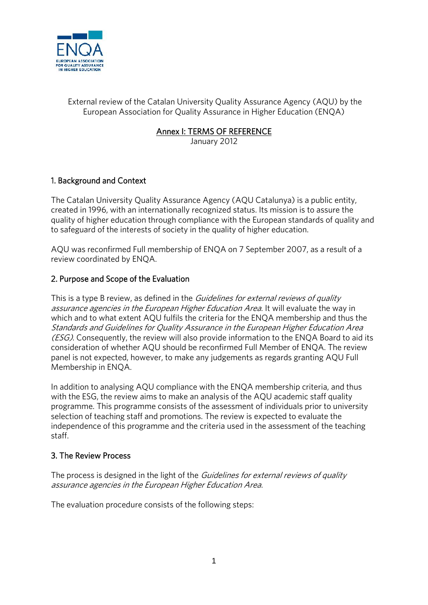

External review of the Catalan University Quality Assurance Agency (AQU) by the European Association for Quality Assurance in Higher Education (ENQA)

**Annex I: TERMS OF REFERENCE**

January 2012

# **1. Background and Context**

The Catalan University Quality Assurance Agency (AQU Catalunya) is a public entity, created in 1996, with an internationally recognized status. Its mission is to assure the quality of higher education through compliance with the European standards of quality and to safeguard of the interests of society in the quality of higher education.

AQU was reconfirmed Full membership of ENQA on 7 September 2007, as a result of a review coordinated by ENQA.

## **2. Purpose and Scope of the Evaluation**

This is a type B review, as defined in the *Guidelines for external reviews of quality assurance agencies in the European Higher Education Area.* It will evaluate the way in which and to what extent AQU fulfils the criteria for the ENQA membership and thus the *Standards and Guidelines for Quality Assurance in the European Higher Education Area (ESG)*. Consequently, the review will also provide information to the ENQA Board to aid its consideration of whether AQU should be reconfirmed Full Member of ENQA. The review panel is not expected, however, to make any judgements as regards granting AQU Full Membership in ENQA.

In addition to analysing AQU compliance with the ENQA membership criteria, and thus with the ESG, the review aims to make an analysis of the AQU academic staff quality programme. This programme consists of the assessment of individuals prior to university selection of teaching staff and promotions. The review is expected to evaluate the independence of this programme and the criteria used in the assessment of the teaching staff.

## **3. The Review Process**

The process is designed in the light of the *Guidelines for external reviews of quality assurance agencies in the European Higher Education Area*.

The evaluation procedure consists of the following steps: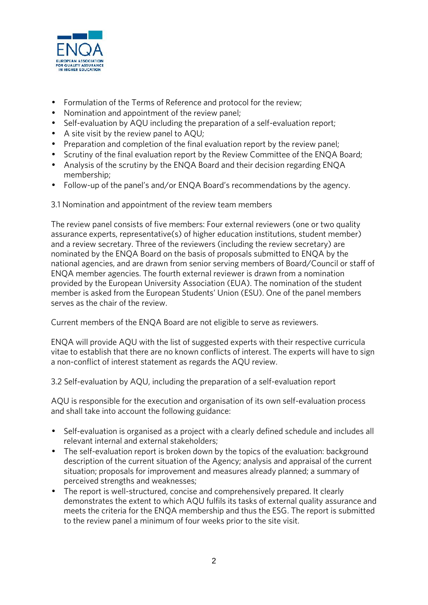

- Formulation of the Terms of Reference and protocol for the review;
- Nomination and appointment of the review panel;
- Self-evaluation by AQU including the preparation of a self-evaluation report;
- A site visit by the review panel to AQU;
- Preparation and completion of the final evaluation report by the review panel;
- Scrutiny of the final evaluation report by the Review Committee of the ENOA Board;
- Analysis of the scrutiny by the ENQA Board and their decision regarding ENQA membership;
- Follow-up of the panel's and/or ENQA Board's recommendations by the agency.

3.1 Nomination and appointment of the review team members

The review panel consists of five members: Four external reviewers (one or two quality assurance experts, representative(s) of higher education institutions, student member) and a review secretary. Three of the reviewers (including the review secretary) are nominated by the ENQA Board on the basis of proposals submitted to ENQA by the national agencies, and are drawn from senior serving members of Board/Council or staff of ENQA member agencies. The fourth external reviewer is drawn from a nomination provided by the European University Association (EUA). The nomination of the student member is asked from the European Students' Union (ESU). One of the panel members serves as the chair of the review.

Current members of the ENQA Board are not eligible to serve as reviewers.

ENQA will provide AQU with the list of suggested experts with their respective curricula vitae to establish that there are no known conflicts of interest. The experts will have to sign a non-conflict of interest statement as regards the AQU review.

3.2 Self-evaluation by AQU, including the preparation of a self-evaluation report

AQU is responsible for the execution and organisation of its own self-evaluation process and shall take into account the following guidance:

- Self-evaluation is organised as a project with a clearly defined schedule and includes all relevant internal and external stakeholders;
- The self-evaluation report is broken down by the topics of the evaluation: background description of the current situation of the Agency; analysis and appraisal of the current situation; proposals for improvement and measures already planned; a summary of perceived strengths and weaknesses;
- The report is well-structured, concise and comprehensively prepared. It clearly demonstrates the extent to which AQU fulfils its tasks of external quality assurance and meets the criteria for the ENQA membership and thus the ESG*.* The report is submitted to the review panel a minimum of four weeks prior to the site visit.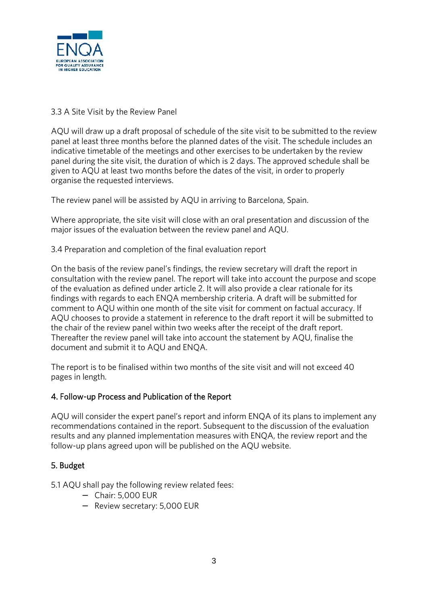

## 3.3 A Site Visit by the Review Panel

AQU will draw up a draft proposal of schedule of the site visit to be submitted to the review panel at least three months before the planned dates of the visit. The schedule includes an indicative timetable of the meetings and other exercises to be undertaken by the review panel during the site visit, the duration of which is 2 days. The approved schedule shall be given to AQU at least two months before the dates of the visit, in order to properly organise the requested interviews.

The review panel will be assisted by AQU in arriving to Barcelona, Spain.

Where appropriate, the site visit will close with an oral presentation and discussion of the major issues of the evaluation between the review panel and AQU.

3.4 Preparation and completion of the final evaluation report

On the basis of the review panel's findings, the review secretary will draft the report in consultation with the review panel. The report will take into account the purpose and scope of the evaluation as defined under article 2. It will also provide a clear rationale for its findings with regards to each ENQA membership criteria. A draft will be submitted for comment to AQU within one month of the site visit for comment on factual accuracy. If AQU chooses to provide a statement in reference to the draft report it will be submitted to the chair of the review panel within two weeks after the receipt of the draft report. Thereafter the review panel will take into account the statement by AQU, finalise the document and submit it to AQU and ENQA.

The report is to be finalised within two months of the site visit and will not exceed 40 pages in length.

### **4. Follow-up Process and Publication of the Report**

AQU will consider the expert panel's report and inform ENQA of its plans to implement any recommendations contained in the report. Subsequent to the discussion of the evaluation results and any planned implementation measures with ENQA, the review report and the follow-up plans agreed upon will be published on the AQU website.

### **5. Budget**

5.1 AQU shall pay the following review related fees:

- Chair: 5,000 EUR
- Review secretary: 5,000 EUR